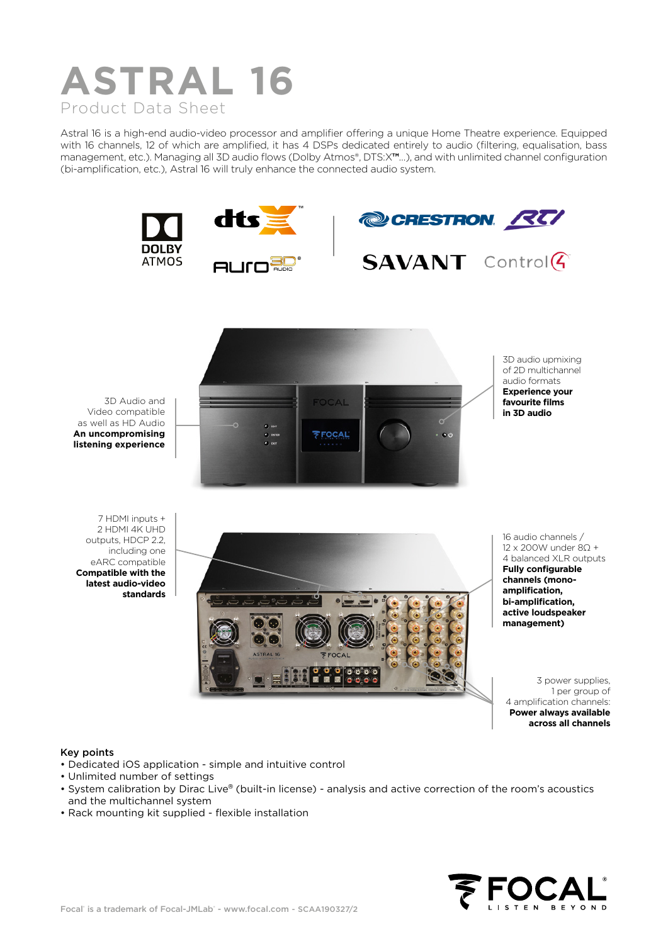

Astral 16 is a high-end audio-video processor and amplifier offering a unique Home Theatre experience. Equipped with 16 channels, 12 of which are amplified, it has 4 DSPs dedicated entirely to audio (filtering, equalisation, bass management, etc.). Managing all 3D audio flows (Dolby Atmos®, DTS:X**™**…), and with unlimited channel configuration (bi-amplification, etc.), Astral 16 will truly enhance the connected audio system.







3D Audio and Video compatible as well as HD Audio **An uncompromising listening experience**



3D audio upmixing of 2D multichannel audio formats **Experience your favourite films in 3D audio**

7 HDMI inputs + 2 HDMI 4K UHD outputs, HDCP 2.2, including one eARC compatible **Compatible with the latest audio-video standards**



16 audio channels / 12 x 200W under 8Ώ + 4 balanced XLR outputs **Fully configurable channels (monoamplification, bi-amplification, active loudspeaker management)**

3 power supplies, 1 per group of 4 amplification channels: **Power always available across all channels**

## Key points

- Dedicated iOS application simple and intuitive control
- Unlimited number of settings
- System calibration by Dirac Live® (built-in license) analysis and active correction of the room's acoustics and the multichannel system
- Rack mounting kit supplied flexible installation